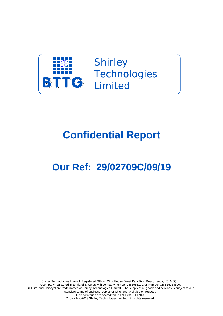

Shirley **Technologies TTG** Limited

## **Confidential Report**

## **Our Ref: 29/02709C/09/19**

Shirley Technologies Limited. Registered Office : Wira House, West Park Ring Road, Leeds, LS16 6QL. A company registered in England & Wales with company number 04669651. VAT Number GB 816764800. BTTG™ and Shirley® are trade names of Shirley Technologies Limited. The supply of all goods and services is subject to our standard terms of business, copies of which are available on request. Our laboratories are accredited to EN ISO/IEC 17025. Copyright ©2019 Shirley Technologies Limited. All rights reserved.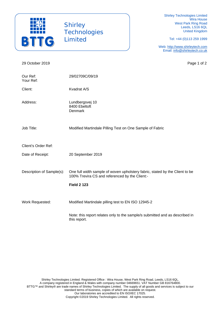

**Shirley Technologies** Limited

Shirley Technologies Limited Wira House West Park Ring Road Leeds, LS16 6QL United Kingdom

Tel: +44 (0)113 259 1999

Web: http://www.shirleytech.com Email: info@shirleytech.co.uk

29 October 2019 **Page 1 of 2** Our Ref: 29/02709C/09/19 Your Ref: Client: Kvadrat A/S Address: Lundbergsvej 10 8400 Ebeltoft Denmark Job Title: Modified Martindale Pilling Test on One Sample of Fabric Client's Order Ref: Date of Receipt: 20 September 2019 Description of Sample(s): One full width sample of woven upholstery fabric, stated by the Client to be 100% Trevira CS and referenced by the Client:- **Field 2 123**  Work Requested: Modified Martindale pilling test to EN ISO 12945-2 Note: this report relates only to the sample/s submitted and as described in this report.